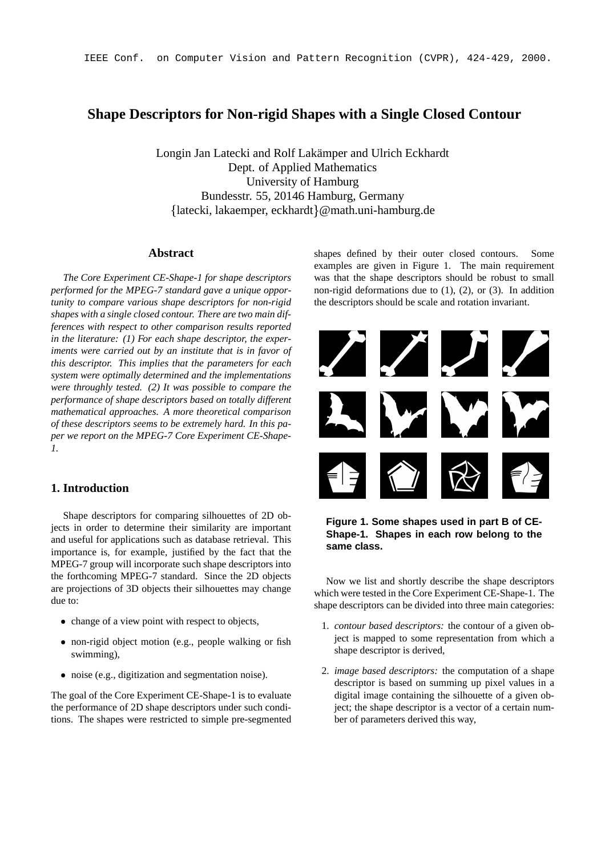# **Shape Descriptors for Non-rigid Shapes with a Single Closed Contour**

Longin Jan Latecki and Rolf Lakämper and Ulrich Eckhardt Dept. of Applied Mathematics University of Hamburg Bundesstr. 55, 20146 Hamburg, Germany latecki, lakaemper, eckhardt @math.uni-hamburg.de

## **Abstract**

*The Core Experiment CE-Shape-1 for shape descriptors performed for the MPEG-7 standard gave a unique opportunity to compare various shape descriptors for non-rigid shapes with a single closed contour. There are two main differences with respect to other comparison results reported in the literature: (1) For each shape descriptor, the experiments were carried out by an institute that is in favor of this descriptor. This implies that the parameters for each system were optimally determined and the implementations were throughly tested. (2) It was possible to compare the performance of shape descriptors based on totally different mathematical approaches. A more theoretical comparison of these descriptors seems to be extremely hard. In this paper we report on the MPEG-7 Core Experiment CE-Shape-1.*

# **1. Introduction**

Shape descriptors for comparing silhouettes of 2D objects in order to determine their similarity are important and useful for applications such as database retrieval. This importance is, for example, justified by the fact that the MPEG-7 group will incorporate such shape descriptors into the forthcoming MPEG-7 standard. Since the 2D objects are projections of 3D objects their silhouettes may change due to:

- change of a view point with respect to objects,
- non-rigid object motion (e.g., people walking or fish swimming),
- noise (e.g., digitization and segmentation noise).

The goal of the Core Experiment CE-Shape-1 is to evaluate the performance of 2D shape descriptors under such conditions. The shapes were restricted to simple pre-segmented shapes defined by their outer closed contours. Some examples are given in Figure 1. The main requirement was that the shape descriptors should be robust to small non-rigid deformations due to (1), (2), or (3). In addition the descriptors should be scale and rotation invariant.



**Figure 1. Some shapes used in part B of CE-Shape-1. Shapes in each row belong to the same class.**

Now we list and shortly describe the shape descriptors which were tested in the Core Experiment CE-Shape-1. The shape descriptors can be divided into three main categories:

- 1. *contour based descriptors:* the contour of a given object is mapped to some representation from which a shape descriptor is derived,
- 2. *image based descriptors:* the computation of a shape descriptor is based on summing up pixel values in a digital image containing the silhouette of a given object; the shape descriptor is a vector of a certain number of parameters derived this way,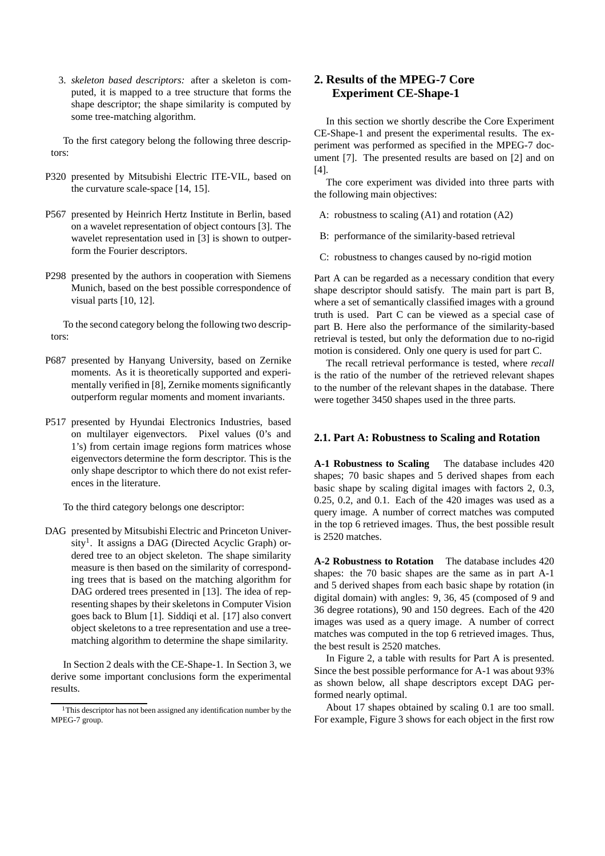3. *skeleton based descriptors:* after a skeleton is computed, it is mapped to a tree structure that forms the shape descriptor; the shape similarity is computed by some tree-matching algorithm.

To the first category belong the following three descriptors:

- P320 presented by Mitsubishi Electric ITE-VIL, based on the curvature scale-space [14, 15].
- P567 presented by Heinrich Hertz Institute in Berlin, based on a wavelet representation of object contours [3]. The wavelet representation used in [3] is shown to outperform the Fourier descriptors.
- P298 presented by the authors in cooperation with Siemens Munich, based on the best possible correspondence of visual parts [10, 12].

To the second category belong the following two descriptors:

- P687 presented by Hanyang University, based on Zernike moments. As it is theoretically supported and experimentally verified in [8], Zernike moments significantly outperform regular moments and moment invariants.
- P517 presented by Hyundai Electronics Industries, based on multilayer eigenvectors. Pixel values (0's and 1's) from certain image regions form matrices whose eigenvectors determine the form descriptor. This is the only shape descriptor to which there do not exist references in the literature.

To the third category belongs one descriptor:

DAG presented by Mitsubishi Electric and Princeton University<sup>1</sup>. It assigns a DAG (Directed Acyclic Graph) ordered tree to an object skeleton. The shape similarity measure is then based on the similarity of corresponding trees that is based on the matching algorithm for DAG ordered trees presented in [13]. The idea of representing shapes by their skeletons in Computer Vision goes back to Blum [1]. Siddiqi et al. [17] also convert object skeletons to a tree representation and use a treematching algorithm to determine the shape similarity.

In Section 2 deals with the CE-Shape-1. In Section 3, we derive some important conclusions form the experimental results.

# **2. Results of the MPEG-7 Core Experiment CE-Shape-1**

In this section we shortly describe the Core Experiment CE-Shape-1 and present the experimental results. The experiment was performed as specified in the MPEG-7 document [7]. The presented results are based on [2] and on [4].

The core experiment was divided into three parts with the following main objectives:

- A: robustness to scaling (A1) and rotation (A2)
- B: performance of the similarity-based retrieval
- C: robustness to changes caused by no-rigid motion

Part A can be regarded as a necessary condition that every shape descriptor should satisfy. The main part is part B, where a set of semantically classified images with a ground truth is used. Part C can be viewed as a special case of part B. Here also the performance of the similarity-based retrieval is tested, but only the deformation due to no-rigid motion is considered. Only one query is used for part C.

The recall retrieval performance is tested, where *recall* is the ratio of the number of the retrieved relevant shapes to the number of the relevant shapes in the database. There were together 3450 shapes used in the three parts.

### **2.1. Part A: Robustness to Scaling and Rotation**

**A-1 Robustness to Scaling** The database includes 420 shapes; 70 basic shapes and 5 derived shapes from each basic shape by scaling digital images with factors 2, 0.3, 0.25, 0.2, and 0.1. Each of the 420 images was used as a query image. A number of correct matches was computed in the top 6 retrieved images. Thus, the best possible result is 2520 matches.

**A-2 Robustness to Rotation** The database includes 420 shapes: the 70 basic shapes are the same as in part A-1 and 5 derived shapes from each basic shape by rotation (in digital domain) with angles: 9, 36, 45 (composed of 9 and 36 degree rotations), 90 and 150 degrees. Each of the 420 images was used as a query image. A number of correct matches was computed in the top 6 retrieved images. Thus, the best result is 2520 matches.

In Figure 2, a table with results for Part A is presented. Since the best possible performance for A-1 was about 93% as shown below, all shape descriptors except DAG performed nearly optimal.

About 17 shapes obtained by scaling 0.1 are too small. For example, Figure 3 shows for each object in the first row

<sup>&</sup>lt;sup>1</sup>This descriptor has not been assigned any identification number by the MPEG-7 group.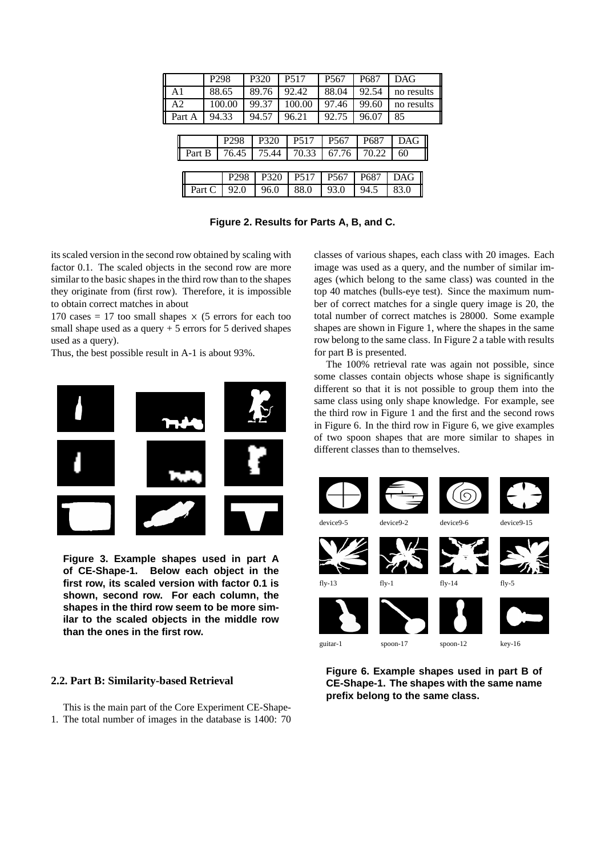| P <sub>298</sub> |        | P320   |                  |       | P <sub>5</sub> 17 | P <sub>567</sub> | P687             | <b>DAG</b>       |       |            |  |
|------------------|--------|--------|------------------|-------|-------------------|------------------|------------------|------------------|-------|------------|--|
| A <sub>1</sub>   |        | 88.65  |                  | 89.76 |                   |                  | 92.42            | 88.04            | 92.54 | no results |  |
| A <sub>2</sub>   |        |        | 100.00           |       | 99.37             |                  | 100.00           | 97.46            | 99.60 | no results |  |
| Part A           |        |        | 94.33            | 94.57 |                   | 96.21            |                  | 92.75            | 96.07 | 85         |  |
|                  |        |        |                  |       |                   |                  |                  |                  |       |            |  |
|                  |        |        | P <sub>298</sub> |       | P320              |                  | P517             | P <sub>567</sub> | P687  | DAG        |  |
|                  | Part B |        | 76.45            |       | 75.44             |                  | 70.33            | 67.76            | 70.22 | 60         |  |
|                  |        |        |                  |       |                   |                  |                  |                  |       |            |  |
|                  |        |        | P <sub>298</sub> |       | P320              |                  | P <sub>517</sub> | P <sub>567</sub> | P687  | <b>DAG</b> |  |
|                  |        | Part C | 92.0             |       | 96.0              |                  | 88.0             | 93.0             | 94.5  | 83.0       |  |
|                  |        |        |                  |       |                   |                  |                  |                  |       |            |  |

**Figure 2. Results for Parts A, B, and C.**

its scaled version in the second row obtained by scaling with factor 0.1. The scaled objects in the second row are more similar to the basic shapes in the third row than to the shapes they originate from (first row). Therefore, it is impossible to obtain correct matches in about

170 cases = 17 too small shapes  $\times$  (5 errors for each too small shape used as a query  $+5$  errors for 5 derived shapes used as a query).

Thus, the best possible result in A-1 is about 93%.



**Figure 3. Example shapes used in part A of CE-Shape-1. Below each object in the first row, its scaled version with factor 0.1 is shown, second row. For each column, the shapes in the third row seem to be more similar to the scaled objects in the middle row than the ones in the first row.**

### **2.2. Part B: Similarity-based Retrieval**

This is the main part of the Core Experiment CE-Shape-1. The total number of images in the database is 1400: 70 classes of various shapes, each class with 20 images. Each image was used as a query, and the number of similar images (which belong to the same class) was counted in the top 40 matches (bulls-eye test). Since the maximum number of correct matches for a single query image is 20, the total number of correct matches is 28000. Some example shapes are shown in Figure 1, where the shapes in the same row belong to the same class. In Figure 2 a table with results for part B is presented.

The 100% retrieval rate was again not possible, since some classes contain objects whose shape is significantly different so that it is not possible to group them into the same class using only shape knowledge. For example, see the third row in Figure 1 and the first and the second rows in Figure 6. In the third row in Figure 6, we give examples of two spoon shapes that are more similar to shapes in different classes than to themselves.



**Figure 6. Example shapes used in part B of CE-Shape-1. The shapes with the same name prefix belong to the same class.**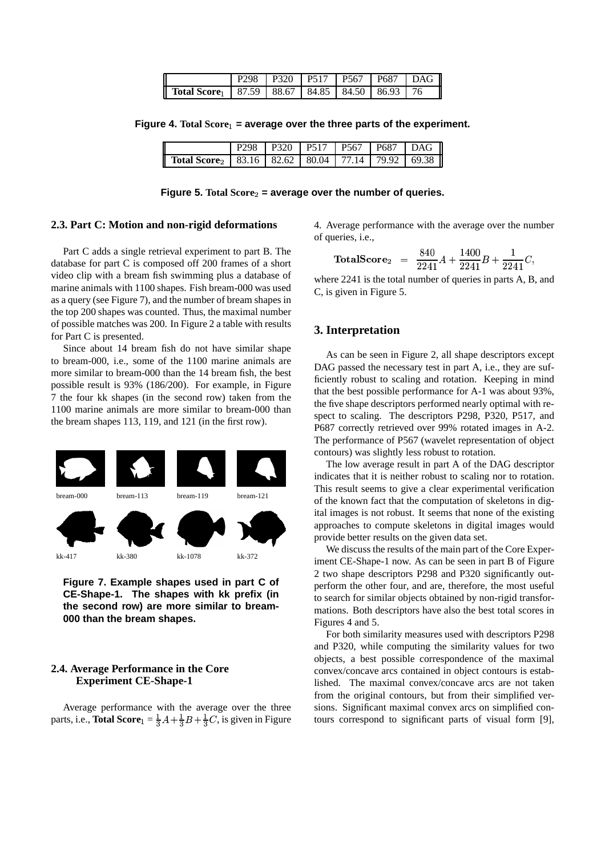|                                                                              |  | P <sub>298</sub>   P <sub>320</sub>   P <sub>517</sub>   P <sub>567</sub>   P <sub>687</sub>   D <sub>AG</sub> |  |  |
|------------------------------------------------------------------------------|--|----------------------------------------------------------------------------------------------------------------|--|--|
| <b>Total Score</b> <sub>1</sub>   87.59   88.67   84.85   84.50   86.93   76 |  |                                                                                                                |  |  |

**Figure 4. Total Score = average over the three parts of the experiment.**

|                                                                                 |  | P298 P320 P517 P567 P687 DAG |  |
|---------------------------------------------------------------------------------|--|------------------------------|--|
| <b>Total Score</b> <sub>2</sub>   83.16   82.62   80.04   77.14   79.92   69.38 |  |                              |  |

**Figure** 5. Total  $Score_2$  = average over the number of queries.

#### **2.3. Part C: Motion and non-rigid deformations**

Part C adds a single retrieval experiment to part B. The database for part C is composed off 200 frames of a short video clip with a bream fish swimming plus a database of marine animals with 1100 shapes. Fish bream-000 was used as a query (see Figure 7), and the number of bream shapes in the top 200 shapes was counted. Thus, the maximal number of possible matches was 200. In Figure 2 a table with results for Part C is presented.

Since about 14 bream fish do not have similar shape to bream-000, i.e., some of the 1100 marine animals are more similar to bream-000 than the 14 bream fish, the best possible result is 93% (186/200). For example, in Figure 7 the four kk shapes (in the second row) taken from the 1100 marine animals are more similar to bream-000 than the bream shapes 113, 119, and 121 (in the first row).



**Figure 7. Example shapes used in part C of CE-Shape-1. The shapes with kk prefix (in the second row) are more similar to bream-000 than the bream shapes.**

### **2.4. Average Performance in the Core Experiment CE-Shape-1**

Average performance with the average over the three parts, i.e., **Total Score**<sub>1</sub> =  $\frac{1}{3}A + \frac{1}{3}B + \frac{1}{3}C$ , is given in Figure

4. Average performance with the average over the number of queries, i.e.,

$$
TotalScore_2 = \frac{840}{2241}A + \frac{1400}{2241}B + \frac{1}{2241}C,
$$

where 2241 is the total number of queries in parts A, B, and C, is given in Figure 5.

### **3. Interpretation**

As can be seen in Figure 2, all shape descriptors except DAG passed the necessary test in part A, i.e., they are sufficiently robust to scaling and rotation. Keeping in mind that the best possible performance for A-1 was about 93%, the five shape descriptors performed nearly optimal with respect to scaling. The descriptors P298, P320, P517, and P687 correctly retrieved over 99% rotated images in A-2. The performance of P567 (wavelet representation of object contours) was slightly less robust to rotation.

The low average result in part A of the DAG descriptor indicates that it is neither robust to scaling nor to rotation. This result seems to give a clear experimental verification of the known fact that the computation of skeletons in digital images is not robust. It seems that none of the existing approaches to compute skeletons in digital images would provide better results on the given data set.

We discuss the results of the main part of the Core Experiment CE-Shape-1 now. As can be seen in part B of Figure 2 two shape descriptors P298 and P320 significantly outperform the other four, and are, therefore, the most useful to search for similar objects obtained by non-rigid transformations. Both descriptors have also the best total scores in Figures 4 and 5.

For both similarity measures used with descriptors P298 and P320, while computing the similarity values for two objects, a best possible correspondence of the maximal convex/concave arcs contained in object contours is established. The maximal convex/concave arcs are not taken from the original contours, but from their simplified versions. Significant maximal convex arcs on simplified contours correspond to significant parts of visual form [9],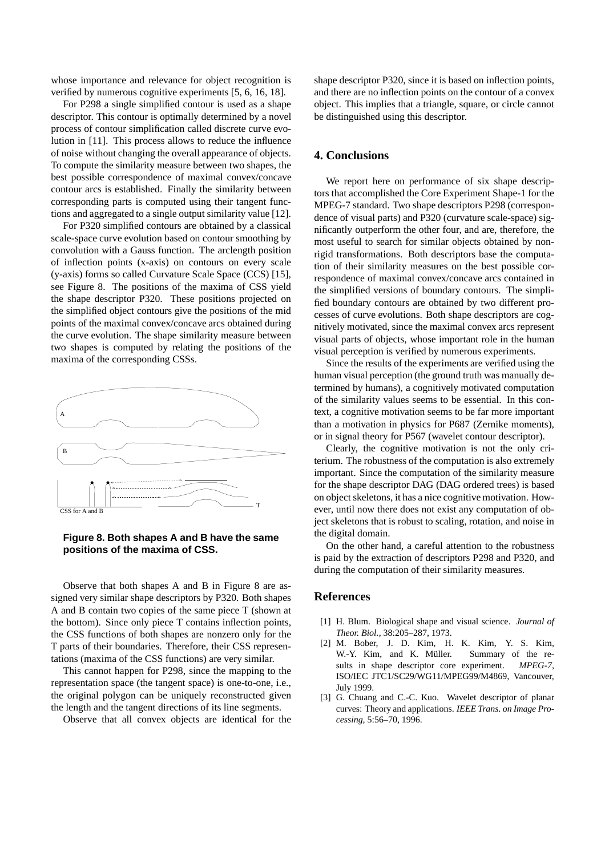whose importance and relevance for object recognition is verified by numerous cognitive experiments [5, 6, 16, 18].

For P298 a single simplified contour is used as a shape descriptor. This contour is optimally determined by a novel process of contour simplification called discrete curve evolution in [11]. This process allows to reduce the influence of noise without changing the overall appearance of objects. To compute the similarity measure between two shapes, the best possible correspondence of maximal convex/concave contour arcs is established. Finally the similarity between corresponding parts is computed using their tangent functions and aggregated to a single output similarity value [12].

For P320 simplified contours are obtained by a classical scale-space curve evolution based on contour smoothing by convolution with a Gauss function. The arclength position of inflection points (x-axis) on contours on every scale (y-axis) forms so called Curvature Scale Space (CCS) [15], see Figure 8. The positions of the maxima of CSS yield the shape descriptor P320. These positions projected on the simplified object contours give the positions of the mid points of the maximal convex/concave arcs obtained during the curve evolution. The shape similarity measure between two shapes is computed by relating the positions of the maxima of the corresponding CSSs.



### **Figure 8. Both shapes A and B have the same positions of the maxima of CSS.**

Observe that both shapes A and B in Figure 8 are assigned very similar shape descriptors by P320. Both shapes A and B contain two copies of the same piece T (shown at the bottom). Since only piece T contains inflection points, the CSS functions of both shapes are nonzero only for the T parts of their boundaries. Therefore, their CSS representations (maxima of the CSS functions) are very similar.

This cannot happen for P298, since the mapping to the representation space (the tangent space) is one-to-one, i.e., the original polygon can be uniquely reconstructed given the length and the tangent directions of its line segments.

Observe that all convex objects are identical for the

shape descriptor P320, since it is based on inflection points, and there are no inflection points on the contour of a convex object. This implies that a triangle, square, or circle cannot be distinguished using this descriptor.

## **4. Conclusions**

We report here on performance of six shape descriptors that accomplished the Core Experiment Shape-1 for the MPEG-7 standard. Two shape descriptors P298 (correspondence of visual parts) and P320 (curvature scale-space) significantly outperform the other four, and are, therefore, the most useful to search for similar objects obtained by nonrigid transformations. Both descriptors base the computation of their similarity measures on the best possible correspondence of maximal convex/concave arcs contained in the simplified versions of boundary contours. The simplified boundary contours are obtained by two different processes of curve evolutions. Both shape descriptors are cognitively motivated, since the maximal convex arcs represent visual parts of objects, whose important role in the human visual perception is verified by numerous experiments.

Since the results of the experiments are verified using the human visual perception (the ground truth was manually determined by humans), a cognitively motivated computation of the similarity values seems to be essential. In this context, a cognitive motivation seems to be far more important than a motivation in physics for P687 (Zernike moments), or in signal theory for P567 (wavelet contour descriptor).

Clearly, the cognitive motivation is not the only criterium. The robustness of the computation is also extremely important. Since the computation of the similarity measure for the shape descriptor DAG (DAG ordered trees) is based on object skeletons, it has a nice cognitive motivation. However, until now there does not exist any computation of object skeletons that is robust to scaling, rotation, and noise in the digital domain.

On the other hand, a careful attention to the robustness is paid by the extraction of descriptors P298 and P320, and during the computation of their similarity measures.

### **References**

- [1] H. Blum. Biological shape and visual science. *Journal of Theor. Biol.*, 38:205–287, 1973.
- [2] M. Bober, J. D. Kim, H. K. Kim, Y. S. Kim, W.-Y. Kim, and K. Müller. Summary of the results in shape descriptor core experiment. *MPEG-7*, ISO/IEC JTC1/SC29/WG11/MPEG99/M4869, Vancouver, July 1999.
- [3] G. Chuang and C.-C. Kuo. Wavelet descriptor of planar curves: Theory and applications. *IEEE Trans. on Image Processing*, 5:56–70, 1996.